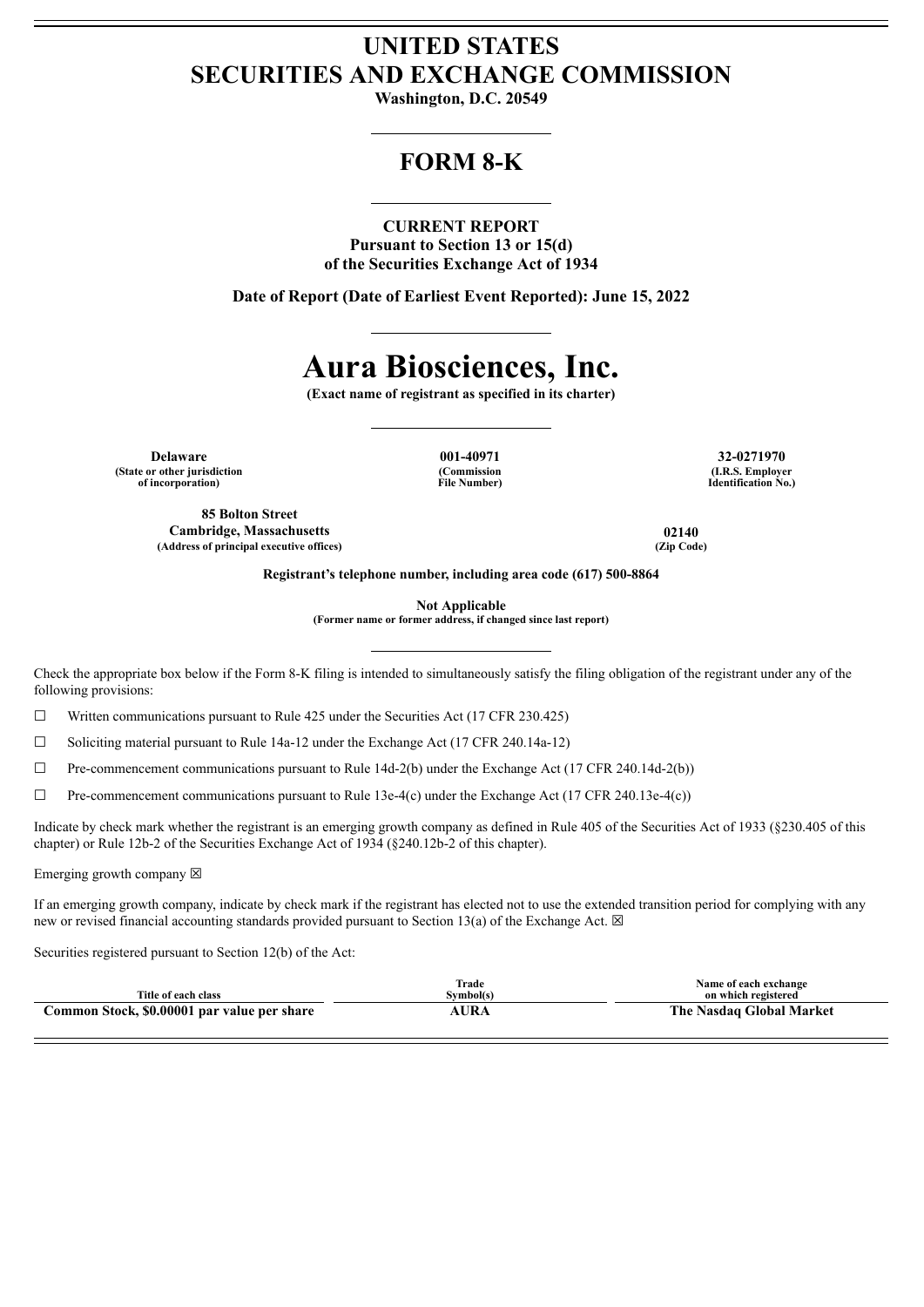## **UNITED STATES SECURITIES AND EXCHANGE COMMISSION**

**Washington, D.C. 20549**

## **FORM 8-K**

#### **CURRENT REPORT**

**Pursuant to Section 13 or 15(d) of the Securities Exchange Act of 1934**

**Date of Report (Date of Earliest Event Reported): June 15, 2022**

# **Aura Biosciences, Inc.**

**(Exact name of registrant as specified in its charter)**

**Delaware 001-40971 32-0271970 (State or other jurisdiction of incorporation)**

**85 Bolton Street Cambridge, Massachusetts 02140 (Address of principal executive offices) (Zip Code)**

**(Commission File Number)**

**(I.R.S. Employer Identification No.)**

**Registrant's telephone number, including area code (617) 500-8864**

**Not Applicable**

**(Former name or former address, if changed since last report)**

Check the appropriate box below if the Form 8-K filing is intended to simultaneously satisfy the filing obligation of the registrant under any of the following provisions:

 $\Box$  Written communications pursuant to Rule 425 under the Securities Act (17 CFR 230.425)

☐ Soliciting material pursuant to Rule 14a-12 under the Exchange Act (17 CFR 240.14a-12)

 $\Box$  Pre-commencement communications pursuant to Rule 14d-2(b) under the Exchange Act (17 CFR 240.14d-2(b))

 $\Box$  Pre-commencement communications pursuant to Rule 13e-4(c) under the Exchange Act (17 CFR 240.13e-4(c))

Indicate by check mark whether the registrant is an emerging growth company as defined in Rule 405 of the Securities Act of 1933 (§230.405 of this chapter) or Rule 12b-2 of the Securities Exchange Act of 1934 (§240.12b-2 of this chapter).

Emerging growth company  $\boxtimes$ 

If an emerging growth company, indicate by check mark if the registrant has elected not to use the extended transition period for complying with any new or revised financial accounting standards provided pursuant to Section 13(a) of the Exchange Act.  $\boxtimes$ 

Securities registered pursuant to Section 12(b) of the Act:

|                                             | <b>Trade</b> | Name of each exchange    |
|---------------------------------------------|--------------|--------------------------|
| Title of each class                         | Svmbol(s)    | on which registered      |
| Common Stock, \$0.00001 par value per share | AURA         | The Nasdaq Global Market |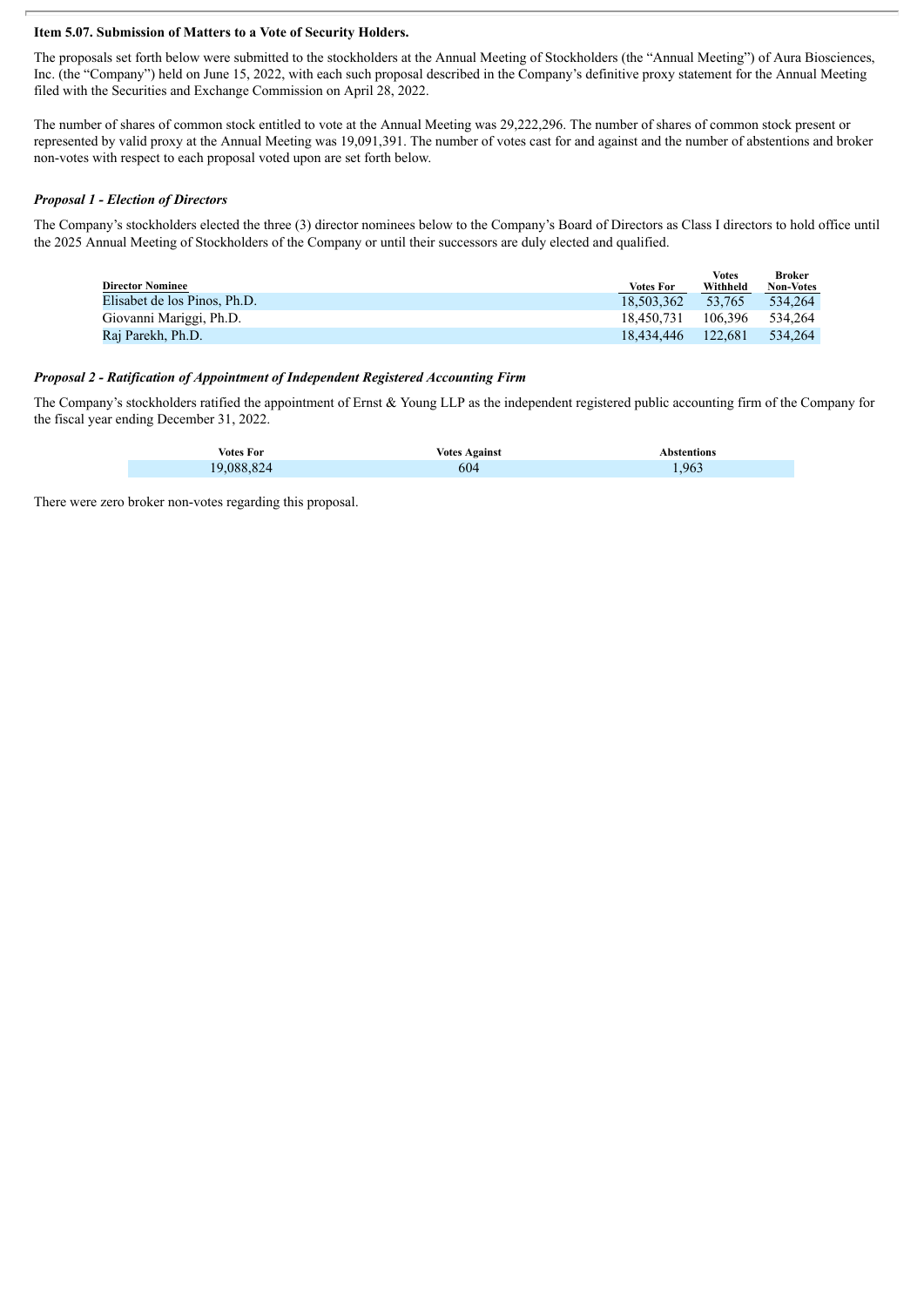#### **Item 5.07. Submission of Matters to a Vote of Security Holders.**

The proposals set forth below were submitted to the stockholders at the Annual Meeting of Stockholders (the "Annual Meeting") of Aura Biosciences, Inc. (the "Company") held on June 15, 2022, with each such proposal described in the Company's definitive proxy statement for the Annual Meeting filed with the Securities and Exchange Commission on April 28, 2022.

The number of shares of common stock entitled to vote at the Annual Meeting was 29,222,296. The number of shares of common stock present or represented by valid proxy at the Annual Meeting was 19,091,391. The number of votes cast for and against and the number of abstentions and broker non-votes with respect to each proposal voted upon are set forth below.

#### *Proposal 1 - Election of Directors*

The Company's stockholders elected the three (3) director nominees below to the Company's Board of Directors as Class I directors to hold office until the 2025 Annual Meeting of Stockholders of the Company or until their successors are duly elected and qualified.

|                              |                  | <b>Votes</b> | Broker           |
|------------------------------|------------------|--------------|------------------|
| <b>Director Nominee</b>      | <b>Votes For</b> | Withheld     | <b>Non-Votes</b> |
| Elisabet de los Pinos, Ph.D. | 18.503.362       | 53.765       | 534.264          |
| Giovanni Mariggi, Ph.D.      | 18.450.731       | 106.396      | 534.264          |
| Raj Parekh, Ph.D.            | 18.434.446       | 122.681      | 534.264          |
|                              |                  |              |                  |

#### *Proposal 2 - Ratification of Appointment of Independent Registered Accounting Firm*

The Company's stockholders ratified the appointment of Ernst & Young LLP as the independent registered public accounting firm of the Company for the fiscal year ending December 31, 2022.

| Votes For  | <b>Votes Against</b> | Abstentions |
|------------|----------------------|-------------|
| 19.088.824 | 604                  | .963        |

There were zero broker non-votes regarding this proposal.